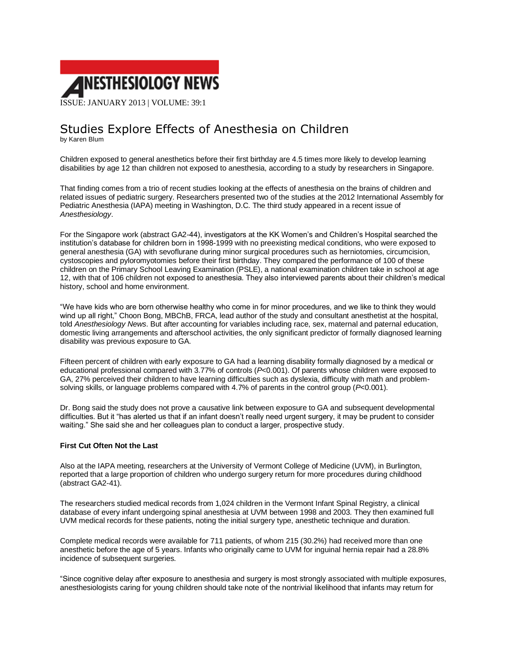

## Studies Explore Effects of Anesthesia on Children

by Karen Blum

Children exposed to general anesthetics before their first birthday are 4.5 times more likely to develop learning disabilities by age 12 than children not exposed to anesthesia, according to a study by researchers in Singapore.

That finding comes from a trio of recent studies looking at the effects of anesthesia on the brains of children and related issues of pediatric surgery. Researchers presented two of the studies at the 2012 International Assembly for Pediatric Anesthesia (IAPA) meeting in Washington, D.C. The third study appeared in a recent issue of *Anesthesiology*.

For the Singapore work (abstract GA2-44), investigators at the KK Women's and Children's Hospital searched the institution's database for children born in 1998-1999 with no preexisting medical conditions, who were exposed to general anesthesia (GA) with sevoflurane during minor surgical procedures such as herniotomies, circumcision, cystoscopies and pyloromyotomies before their first birthday. They compared the performance of 100 of these children on the Primary School Leaving Examination (PSLE), a national examination children take in school at age 12, with that of 106 children not exposed to anesthesia. They also interviewed parents about their children's medical history, school and home environment.

"We have kids who are born otherwise healthy who come in for minor procedures, and we like to think they would wind up all right." Choon Bong, MBChB, FRCA, lead author of the study and consultant anesthetist at the hospital, told *Anesthesiology News*. But after accounting for variables including race, sex, maternal and paternal education, domestic living arrangements and afterschool activities, the only significant predictor of formally diagnosed learning disability was previous exposure to GA.

Fifteen percent of children with early exposure to GA had a learning disability formally diagnosed by a medical or educational professional compared with 3.77% of controls (*P*<0.001). Of parents whose children were exposed to GA, 27% perceived their children to have learning difficulties such as dyslexia, difficulty with math and problemsolving skills, or language problems compared with 4.7% of parents in the control group (*P*<0.001).

Dr. Bong said the study does not prove a causative link between exposure to GA and subsequent developmental difficulties. But it "has alerted us that if an infant doesn't really need urgent surgery, it may be prudent to consider waiting." She said she and her colleagues plan to conduct a larger, prospective study.

## **First Cut Often Not the Last**

Also at the IAPA meeting, researchers at the University of Vermont College of Medicine (UVM), in Burlington, reported that a large proportion of children who undergo surgery return for more procedures during childhood (abstract GA2-41).

The researchers studied medical records from 1,024 children in the Vermont Infant Spinal Registry, a clinical database of every infant undergoing spinal anesthesia at UVM between 1998 and 2003. They then examined full UVM medical records for these patients, noting the initial surgery type, anesthetic technique and duration.

Complete medical records were available for 711 patients, of whom 215 (30.2%) had received more than one anesthetic before the age of 5 years. Infants who originally came to UVM for inguinal hernia repair had a 28.8% incidence of subsequent surgeries.

"Since cognitive delay after exposure to anesthesia and surgery is most strongly associated with multiple exposures, anesthesiologists caring for young children should take note of the nontrivial likelihood that infants may return for